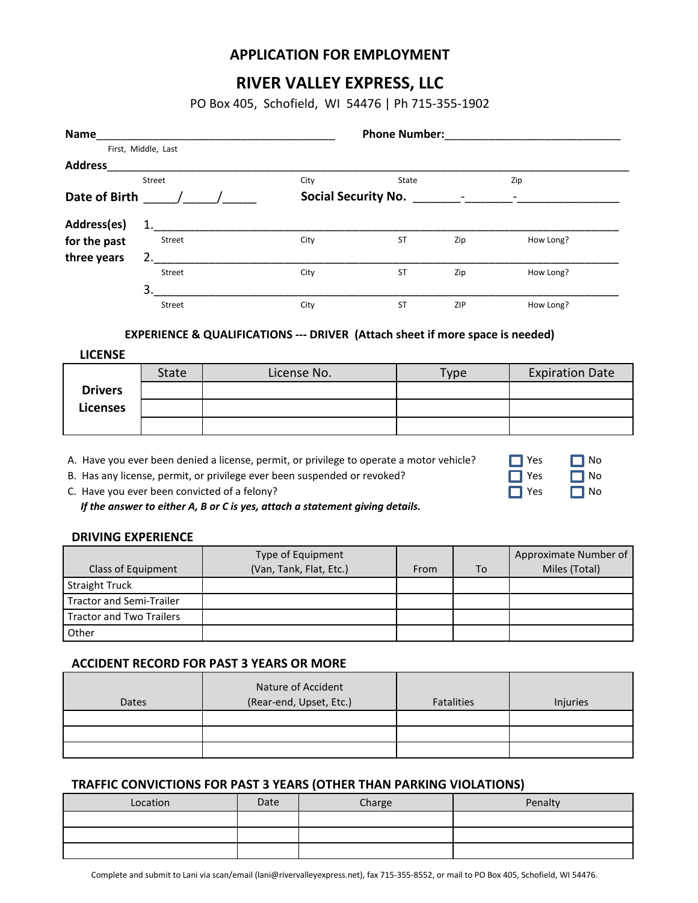## **APPLICATION FOR EMPLOYMENT**

# **RIVER VALLEY EXPRESS, LLC**

PO Box 405, Schofield, WI 54476 | Ph 715-355-1902

| Name                                                                                                            |                     |                                                 |                                                                                                                                                                                                                                                      |  | <b>Phone Number:</b> |     |                       |                        |  |
|-----------------------------------------------------------------------------------------------------------------|---------------------|-------------------------------------------------|------------------------------------------------------------------------------------------------------------------------------------------------------------------------------------------------------------------------------------------------------|--|----------------------|-----|-----------------------|------------------------|--|
|                                                                                                                 | First, Middle, Last |                                                 |                                                                                                                                                                                                                                                      |  |                      |     |                       |                        |  |
| Address and the contract of the contract of the contract of the contract of the contract of the contract of the |                     |                                                 |                                                                                                                                                                                                                                                      |  |                      |     |                       |                        |  |
|                                                                                                                 | Street              |                                                 | City                                                                                                                                                                                                                                                 |  | State                |     | Zip                   |                        |  |
| Date of Birth / /                                                                                               |                     |                                                 |                                                                                                                                                                                                                                                      |  |                      |     |                       |                        |  |
| Address(es)                                                                                                     | 1.                  |                                                 |                                                                                                                                                                                                                                                      |  |                      |     |                       |                        |  |
| for the past                                                                                                    | Street              |                                                 | City                                                                                                                                                                                                                                                 |  | <b>ST</b><br>Zip     |     | How Long?             |                        |  |
| three years                                                                                                     | 2.                  |                                                 |                                                                                                                                                                                                                                                      |  |                      |     |                       |                        |  |
|                                                                                                                 | Street              |                                                 | City                                                                                                                                                                                                                                                 |  | <b>ST</b>            | Zip | How Long?             |                        |  |
|                                                                                                                 | 3.                  |                                                 |                                                                                                                                                                                                                                                      |  |                      |     |                       |                        |  |
|                                                                                                                 | Street              |                                                 | City                                                                                                                                                                                                                                                 |  | ST<br>ZIP            |     | How Long?             |                        |  |
|                                                                                                                 |                     |                                                 | <b>EXPERIENCE &amp; QUALIFICATIONS --- DRIVER (Attach sheet if more space is needed)</b>                                                                                                                                                             |  |                      |     |                       |                        |  |
| <b>LICENSE</b>                                                                                                  |                     |                                                 |                                                                                                                                                                                                                                                      |  |                      |     |                       |                        |  |
|                                                                                                                 | State               |                                                 | License No.                                                                                                                                                                                                                                          |  | <b>Type</b>          |     |                       | <b>Expiration Date</b> |  |
| <b>Drivers</b>                                                                                                  |                     |                                                 |                                                                                                                                                                                                                                                      |  |                      |     |                       |                        |  |
| <b>Licenses</b>                                                                                                 |                     |                                                 |                                                                                                                                                                                                                                                      |  |                      |     |                       |                        |  |
|                                                                                                                 |                     |                                                 |                                                                                                                                                                                                                                                      |  |                      |     |                       |                        |  |
| <b>DRIVING EXPERIENCE</b>                                                                                       |                     | C. Have you ever been convicted of a felony?    | A. Have you ever been denied a license, permit, or privilege to operate a motor vehicle?<br>B. Has any license, permit, or privilege ever been suspended or revoked?<br>If the answer to either A, B or C is yes, attach a statement giving details. |  |                      |     | Yes<br>Yes<br>Yes     | No<br>No<br>No         |  |
|                                                                                                                 |                     |                                                 | Type of Equipment                                                                                                                                                                                                                                    |  |                      |     | Approximate Number of |                        |  |
| Class of Equipment                                                                                              |                     |                                                 | (Van, Tank, Flat, Etc.)                                                                                                                                                                                                                              |  | From                 | To  | Miles (Total)         |                        |  |
| <b>Straight Truck</b>                                                                                           |                     |                                                 |                                                                                                                                                                                                                                                      |  |                      |     |                       |                        |  |
| <b>Tractor and Semi-Trailer</b>                                                                                 |                     |                                                 |                                                                                                                                                                                                                                                      |  |                      |     |                       |                        |  |
| <b>Tractor and Two Trailers</b>                                                                                 |                     |                                                 |                                                                                                                                                                                                                                                      |  |                      |     |                       |                        |  |
| Other                                                                                                           |                     |                                                 |                                                                                                                                                                                                                                                      |  |                      |     |                       |                        |  |
|                                                                                                                 |                     | <b>ACCIDENT RECORD FOR PAST 3 YEARS OR MORE</b> |                                                                                                                                                                                                                                                      |  |                      |     |                       |                        |  |
|                                                                                                                 |                     | Nature of Accident                              |                                                                                                                                                                                                                                                      |  |                      |     |                       |                        |  |
| <b>Dates</b>                                                                                                    |                     |                                                 | (Rear-end, Upset, Etc.)                                                                                                                                                                                                                              |  | <b>Fatalities</b>    |     | Injuries              |                        |  |
|                                                                                                                 |                     |                                                 |                                                                                                                                                                                                                                                      |  |                      |     |                       |                        |  |
|                                                                                                                 |                     |                                                 |                                                                                                                                                                                                                                                      |  |                      |     |                       |                        |  |
|                                                                                                                 |                     |                                                 |                                                                                                                                                                                                                                                      |  |                      |     |                       |                        |  |

### **TRAFFIC CONVICTIONS FOR PAST 3 YEARS (OTHER THAN PARKING VIOLATIONS)**

| Location | Date | Charge | Penalty |  |
|----------|------|--------|---------|--|
|          |      |        |         |  |
|          |      |        |         |  |
|          |      |        |         |  |

Complete and submit to Lani via scan/email (lani@rivervalleyexpress.net), fax 715-355-8552, or mail to PO Box 405, Schofield, WI 54476.